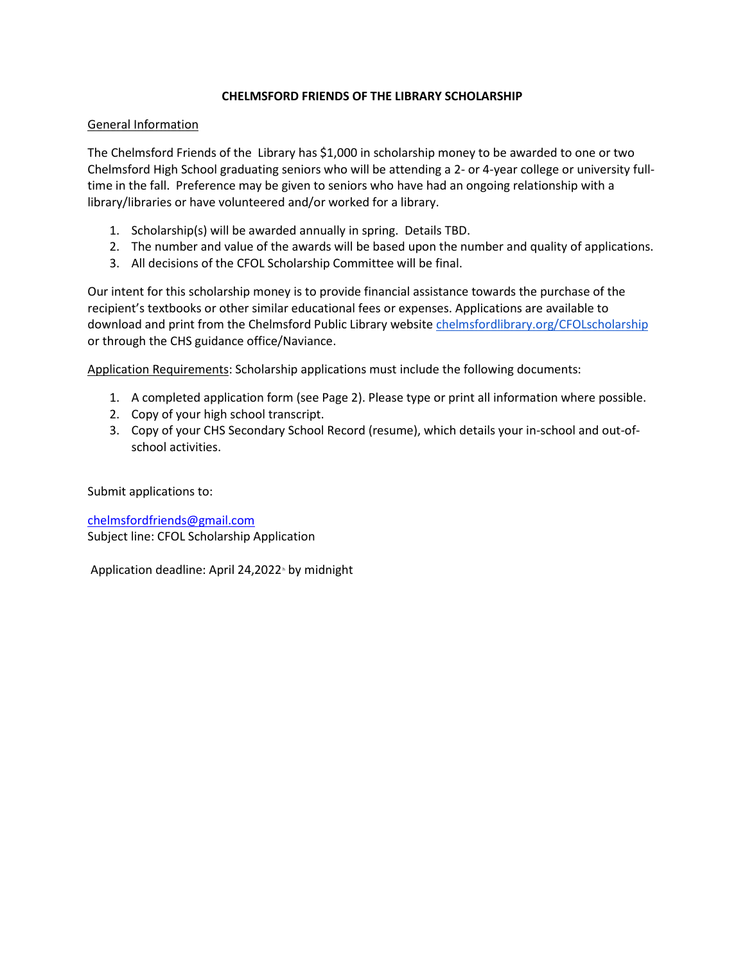## **CHELMSFORD FRIENDS OF THE LIBRARY SCHOLARSHIP**

## General Information

The Chelmsford Friends of the Library has \$1,000 in scholarship money to be awarded to one or two Chelmsford High School graduating seniors who will be attending a 2- or 4-year college or university fulltime in the fall. Preference may be given to seniors who have had an ongoing relationship with a library/libraries or have volunteered and/or worked for a library.

- 1. Scholarship(s) will be awarded annually in spring. Details TBD.
- 2. The number and value of the awards will be based upon the number and quality of applications.
- 3. All decisions of the CFOL Scholarship Committee will be final.

Our intent for this scholarship money is to provide financial assistance towards the purchase of the recipient's textbooks or other similar educational fees or expenses. Applications are available to download and print from the Chelmsford Public Library websit[e chelmsfordlibrary.org/CFOLscholarship](http://chelmsfordlibrary.org/CFOLscholarship) or through the CHS guidance office/Naviance.

Application Requirements: Scholarship applications must include the following documents:

- 1. A completed application form (see Page 2). Please type or print all information where possible.
- 2. Copy of your high school transcript.
- 3. Copy of your CHS Secondary School Record (resume), which details your in-school and out-ofschool activities.

Submit applications to:

[chelmsfordfriends@gmail.com](mailto:chelmsfordfriends@gmail.com) Subject line: CFOL Scholarship Application

Application deadline: April 24,2022 by midnight